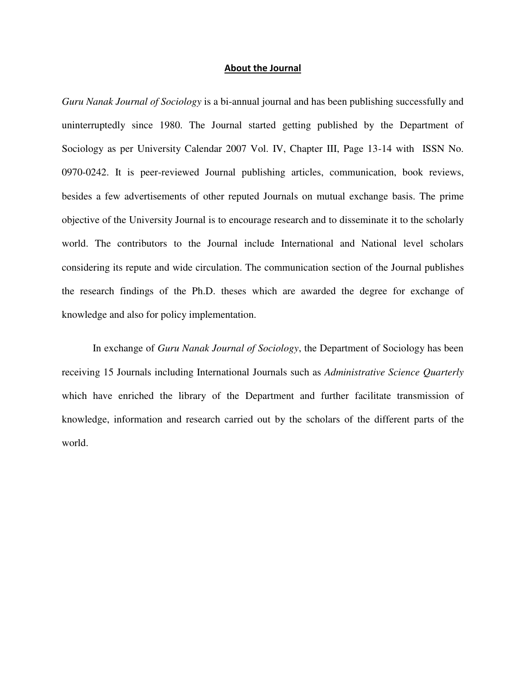#### **About the Journal**

*Guru Nanak Journal of Sociology* is a bi-annual journal and has been publishing successfully and uninterruptedly since 1980. The Journal started getting published by the Department of Sociology as per University Calendar 2007 Vol. IV, Chapter III, Page 13-14 with ISSN No. 0970-0242. It is peer-reviewed Journal publishing articles, communication, book reviews, besides a few advertisements of other reputed Journals on mutual exchange basis. The prime objective of the University Journal is to encourage research and to disseminate it to the scholarly world. The contributors to the Journal include International and National level scholars considering its repute and wide circulation. The communication section of the Journal publishes the research findings of the Ph.D. theses which are awarded the degree for exchange of knowledge and also for policy implementation.

 In exchange of *Guru Nanak Journal of Sociology*, the Department of Sociology has been receiving 15 Journals including International Journals such as *Administrative Science Quarterly* which have enriched the library of the Department and further facilitate transmission of knowledge, information and research carried out by the scholars of the different parts of the world.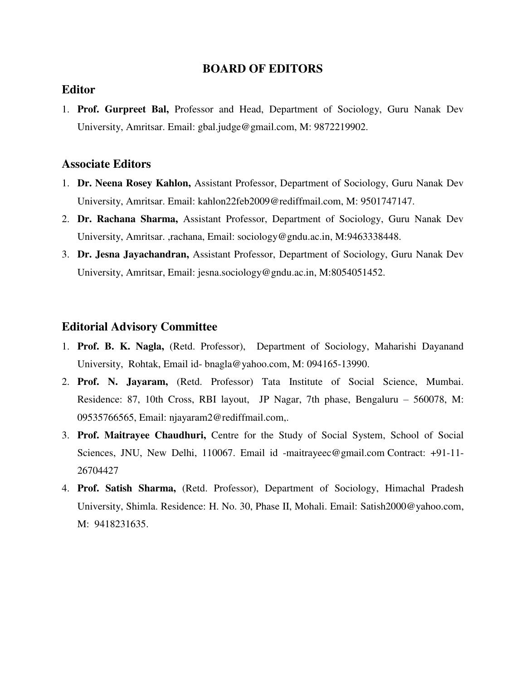## **BOARD OF EDITORS**

# **Editor**

1. **Prof. Gurpreet Bal,** Professor and Head, Department of Sociology, Guru Nanak Dev University, Amritsar. Email: [gbal.judge@gmail.com,](mailto:gbal.judge@gmail.com) M: 9872219902.

#### **Associate Editors**

- 1. **Dr. Neena Rosey Kahlon,** Assistant Professor, Department of Sociology, Guru Nanak Dev University, Amritsar. Email: [kahlon22feb2009@rediffmail.com,](mailto:kahlon22feb2009@rediffmail.com) M: 9501747147.
- 2. **Dr. Rachana Sharma,** Assistant Professor, Department of Sociology, Guru Nanak Dev University, Amritsar. [,rachana, Email: sociology@gndu.ac.in,](mailto:rachana,%20Email:%20sociology@gndu.ac.in) M:9463338448.
- 3. **Dr. Jesna Jayachandran,** Assistant Professor, Department of Sociology, Guru Nanak Dev University, Amritsar, [Email: jesna.sociology@gndu.ac.in,](mailto:Email:%20jesna.sociology@gndu.ac.in) M:8054051452.

### **Editorial Advisory Committee**

- 1. **Prof. B. K. Nagla,** (Retd. Professor), Department of Sociology, Maharishi Dayanand University, Rohtak, Email id- [bnagla@yahoo.com,](mailto:bnagla@yahoo.com) M: 094165-13990.
- 2. **Prof. N. Jayaram,** (Retd. Professor) Tata Institute of Social Science, Mumbai. Residence: 87, 10th Cross, RBI layout, JP Nagar, 7th phase, Bengaluru – 560078, M: 09535766565, Email: [njayaram2@rediffmail.com,](mailto:njayaram2@rediffmail.com).
- 3. **Prof. Maitrayee Chaudhuri,** Centre for the Study of Social System, School of Social Sciences, JNU, New Delhi, 110067. Email id [-maitrayeec@gmail.com](mailto:maitrayeec@gmail.com) Contract: +91-11- 26704427
- 4. **Prof. Satish Sharma,** (Retd. Professor), Department of Sociology, Himachal Pradesh University, Shimla. Residence: H. No. 30, Phase II, Mohali. Email: [Satish2000@yahoo.com,](mailto:Satish2000@yahoo.com) M: 9418231635.